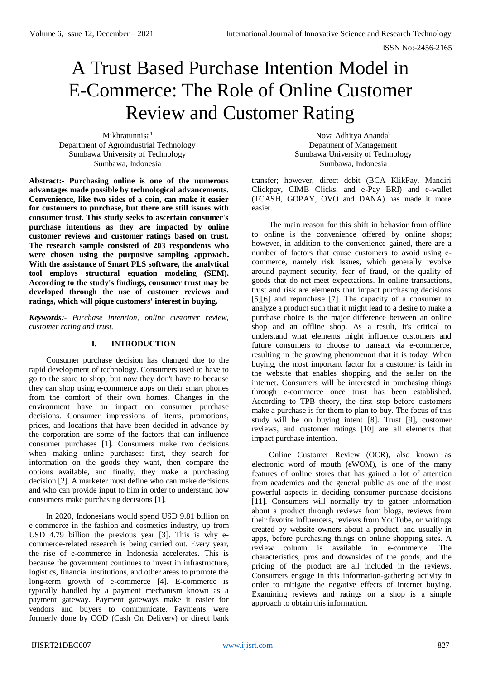# A Trust Based Purchase Intention Model in E-Commerce: The Role of Online Customer Review and Customer Rating

Mikhratunnisa<sup>1</sup> Department of Agroindustrial Technology Sumbawa University of Technology Sumbawa, Indonesia

**Abstract:- Purchasing online is one of the numerous advantages made possible by technological advancements. Convenience, like two sides of a coin, can make it easier for customers to purchase, but there are still issues with consumer trust. This study seeks to ascertain consumer's purchase intentions as they are impacted by online customer reviews and customer ratings based on trust. The research sample consisted of 203 respondents who were chosen using the purposive sampling approach. With the assistance of Smart PLS software, the analytical tool employs structural equation modeling (SEM). According to the study's findings, consumer trust may be developed through the use of customer reviews and ratings, which will pique customers' interest in buying.**

*Keywords:- Purchase intention, online customer review, customer rating and trust.*

# **I. INTRODUCTION**

Consumer purchase decision has changed due to the rapid development of technology. Consumers used to have to go to the store to shop, but now they don't have to because they can shop using e-commerce apps on their smart phones from the comfort of their own homes. Changes in the environment have an impact on consumer purchase decisions. Consumer impressions of items, promotions, prices, and locations that have been decided in advance by the corporation are some of the factors that can influence consumer purchases [1]. Consumers make two decisions when making online purchases: first, they search for information on the goods they want, then compare the options available, and finally, they make a purchasing decision [2]. A marketer must define who can make decisions and who can provide input to him in order to understand how consumers make purchasing decisions [1].

In 2020, Indonesians would spend USD 9.81 billion on e-commerce in the fashion and cosmetics industry, up from USD 4.79 billion the previous year [3]. This is why ecommerce-related research is being carried out. Every year, the rise of e-commerce in Indonesia accelerates. This is because the government continues to invest in infrastructure, logistics, financial institutions, and other areas to promote the long-term growth of e-commerce [4]. E-commerce is typically handled by a payment mechanism known as a payment gateway. Payment gateways make it easier for vendors and buyers to communicate. Payments were formerly done by COD (Cash On Delivery) or direct bank

Nova Adhitya Ananda<sup>2</sup> Depatment of Management Sumbawa University of Technology Sumbawa, Indonesia

transfer; however, direct debit (BCA KlikPay, Mandiri Clickpay, CIMB Clicks, and e-Pay BRI) and e-wallet (TCASH, GOPAY, OVO and DANA) has made it more easier.

The main reason for this shift in behavior from offline to online is the convenience offered by online shops; however, in addition to the convenience gained, there are a number of factors that cause customers to avoid using ecommerce, namely risk issues, which generally revolve around payment security, fear of fraud, or the quality of goods that do not meet expectations. In online transactions, trust and risk are elements that impact purchasing decisions [5][6] and repurchase [7]. The capacity of a consumer to analyze a product such that it might lead to a desire to make a purchase choice is the major difference between an online shop and an offline shop. As a result, it's critical to understand what elements might influence customers and future consumers to choose to transact via e-commerce, resulting in the growing phenomenon that it is today. When buying, the most important factor for a customer is faith in the website that enables shopping and the seller on the internet. Consumers will be interested in purchasing things through e-commerce once trust has been established. According to TPB theory, the first step before customers make a purchase is for them to plan to buy. The focus of this study will be on buying intent [8]. Trust [9], customer reviews, and customer ratings [10] are all elements that impact purchase intention.

Online Customer Review (OCR), also known as electronic word of mouth (eWOM), is one of the many features of online stores that has gained a lot of attention from academics and the general public as one of the most powerful aspects in deciding consumer purchase decisions [11]. Consumers will normally try to gather information about a product through reviews from blogs, reviews from their favorite influencers, reviews from YouTube, or writings created by website owners about a product, and usually in apps, before purchasing things on online shopping sites. A review column is available in e-commerce. The characteristics, pros and downsides of the goods, and the pricing of the product are all included in the reviews. Consumers engage in this information-gathering activity in order to mitigate the negative effects of internet buying. Examining reviews and ratings on a shop is a simple approach to obtain this information.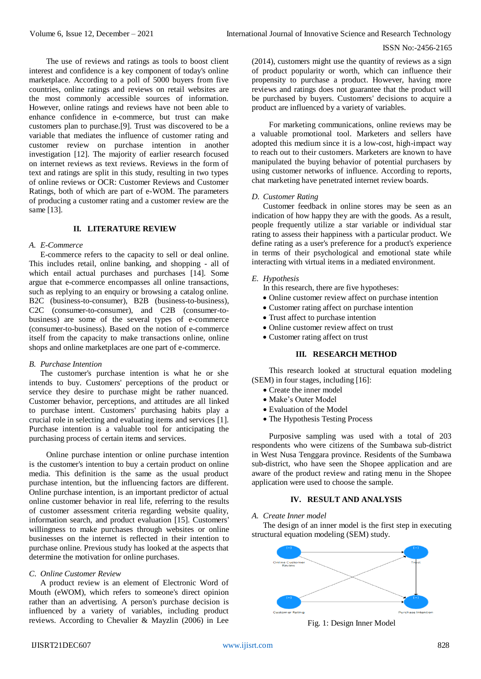The use of reviews and ratings as tools to boost client interest and confidence is a key component of today's online marketplace. According to a poll of 5000 buyers from five countries, online ratings and reviews on retail websites are the most commonly accessible sources of information. However, online ratings and reviews have not been able to enhance confidence in e-commerce, but trust can make customers plan to purchase.[9]. Trust was discovered to be a variable that mediates the influence of customer rating and customer review on purchase intention in another investigation [12]. The majority of earlier research focused on internet reviews as text reviews. Reviews in the form of text and ratings are split in this study, resulting in two types of online reviews or OCR: Customer Reviews and Customer Ratings, both of which are part of e-WOM. The parameters of producing a customer rating and a customer review are the same [13].

# **II. LITERATURE REVIEW**

## *A. E-Commerce*

E-commerce refers to the capacity to sell or deal online. This includes retail, online banking, and shopping - all of which entail actual purchases and purchases [14]. Some argue that e-commerce encompasses all online transactions, such as replying to an enquiry or browsing a catalog online. B2C (business-to-consumer), B2B (business-to-business), C2C (consumer-to-consumer), and C2B (consumer-tobusiness) are some of the several types of e-commerce (consumer-to-business). Based on the notion of e-commerce itself from the capacity to make transactions online, online shops and online marketplaces are one part of e-commerce.

## *B. Purchase Intention*

The customer's purchase intention is what he or she intends to buy. Customers' perceptions of the product or service they desire to purchase might be rather nuanced. Customer behavior, perceptions, and attitudes are all linked to purchase intent. Customers' purchasing habits play a crucial role in selecting and evaluating items and services [1]. Purchase intention is a valuable tool for anticipating the purchasing process of certain items and services.

Online purchase intention or online purchase intention is the customer's intention to buy a certain product on online media. This definition is the same as the usual product purchase intention, but the influencing factors are different. Online purchase intention, is an important predictor of actual online customer behavior in real life, referring to the results of customer assessment criteria regarding website quality, information search, and product evaluation [15]. Customers' willingness to make purchases through websites or online businesses on the internet is reflected in their intention to purchase online. Previous study has looked at the aspects that determine the motivation for online purchases.

## *C. Online Customer Review*

A product review is an element of Electronic Word of Mouth (eWOM), which refers to someone's direct opinion rather than an advertising. A person's purchase decision is influenced by a variety of variables, including product reviews. According to Chevalier & Mayzlin (2006) in Lee (2014), customers might use the quantity of reviews as a sign of product popularity or worth, which can influence their propensity to purchase a product. However, having more reviews and ratings does not guarantee that the product will be purchased by buyers. Customers' decisions to acquire a product are influenced by a variety of variables.

For marketing communications, online reviews may be a valuable promotional tool. Marketers and sellers have adopted this medium since it is a low-cost, high-impact way to reach out to their customers. Marketers are known to have manipulated the buying behavior of potential purchasers by using customer networks of influence. According to reports, chat marketing have penetrated internet review boards.

#### *D. Customer Rating*

Customer feedback in online stores may be seen as an indication of how happy they are with the goods. As a result, people frequently utilize a star variable or individual star rating to assess their happiness with a particular product. We define rating as a user's preference for a product's experience in terms of their psychological and emotional state while interacting with virtual items in a mediated environment.

#### *E. Hypothesis*

In this research, there are five hypotheses:

- Online customer review affect on purchase intention
- Customer rating affect on purchase intention
- Trust affect to purchase intention
- Online customer review affect on trust
- Customer rating affect on trust

## **III. RESEARCH METHOD**

This research looked at structural equation modeling (SEM) in four stages, including [16]:

- Create the inner model
- Make's Outer Model
- Evaluation of the Model
- The Hypothesis Testing Process

Purposive sampling was used with a total of 203 respondents who were citizens of the Sumbawa sub-district in West Nusa Tenggara province. Residents of the Sumbawa sub-district, who have seen the Shopee application and are aware of the product review and rating menu in the Shopee application were used to choose the sample.

# **IV. RESULT AND ANALYSIS**

# *A. Create Inner model*

The design of an inner model is the first step in executing structural equation modeling (SEM) study.



Fig. 1: Design Inner Model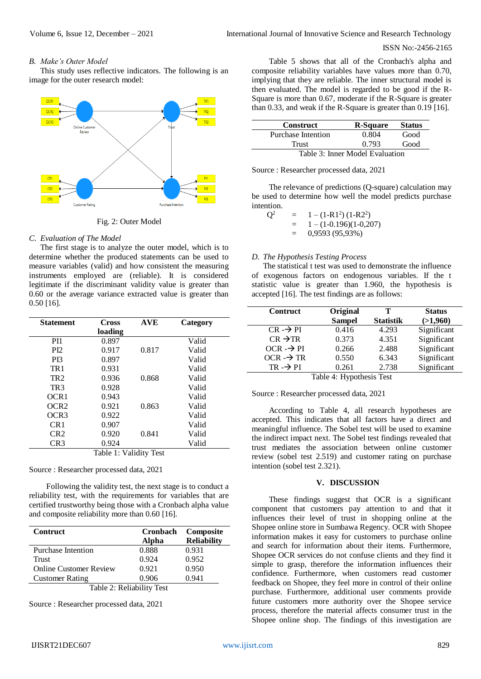## ISSN No:-2456-2165

# *B. Make's Outer Model*

This study uses reflective indicators. The following is an image for the outer research model:



Fig. 2: Outer Model

# *C. Evaluation of The Model*

The first stage is to analyze the outer model, which is to determine whether the produced statements can be used to measure variables (valid) and how consistent the measuring instruments employed are (reliable). It is considered legitimate if the discriminant validity value is greater than 0.60 or the average variance extracted value is greater than 0.50 [16].

| <b>Statement</b>       | <b>Cross</b> | AVE   | Category |  |  |  |
|------------------------|--------------|-------|----------|--|--|--|
|                        | loading      |       |          |  |  |  |
| P <sub>I1</sub>        | 0.897        |       | Valid    |  |  |  |
| P <sub>I2</sub>        | 0.917        | 0.817 | Valid    |  |  |  |
| P <sub>I</sub> 3       | 0.897        |       | Valid    |  |  |  |
| TR <sub>1</sub>        | 0.931        |       | Valid    |  |  |  |
| TR <sub>2</sub>        | 0.936        | 0.868 | Valid    |  |  |  |
| TR3                    | 0.928        |       | Valid    |  |  |  |
| OCR1                   | 0.943        |       | Valid    |  |  |  |
| OCR2                   | 0.921        | 0.863 | Valid    |  |  |  |
| OCR <sub>3</sub>       | 0.922        |       | Valid    |  |  |  |
| CR1                    | 0.907        |       | Valid    |  |  |  |
| CR2                    | 0.920        | 0.841 | Valid    |  |  |  |
| CR <sub>3</sub>        | 0.924        |       | Valid    |  |  |  |
| Table 1: Validity Test |              |       |          |  |  |  |

Source : Researcher processed data, 2021

Following the validity test, the next stage is to conduct a reliability test, with the requirements for variables that are certified trustworthy being those with a Cronbach alpha value and composite reliability more than 0.60 [16].

| <b>Contruct</b>               | Cronbach<br>Alpha | Composite<br><b>Reliability</b> |
|-------------------------------|-------------------|---------------------------------|
| <b>Purchase Intention</b>     | 0.888             | 0.931                           |
| Trust                         | 0.924             | 0.952                           |
| <b>Online Customer Review</b> | 0.921             | 0.950                           |
| <b>Customer Rating</b>        | 0.906             | 0.941                           |

Table 2: Reliability Test

Source : Researcher processed data, 2021

Table 5 shows that all of the Cronbach's alpha and composite reliability variables have values more than 0.70, implying that they are reliable. The inner structural model is then evaluated. The model is regarded to be good if the R-Square is more than 0.67, moderate if the R-Square is greater than 0.33, and weak if the R-Square is greater than 0.19 [16].

| <b>Construct</b>                | <b>R-Square</b> | <b>Status</b> |  |  |
|---------------------------------|-----------------|---------------|--|--|
| Purchase Intention              | 0.804           | Good          |  |  |
| Trust                           | 0.793           | Good          |  |  |
| Table 3: Inner Model Evaluation |                 |               |  |  |

Source : Researcher processed data, 2021

The relevance of predictions (Q-square) calculation may be used to determine how well the model predicts purchase intention.

$$
Q2 = 1 - (1-R12)(1-R22)
$$
  
= 1 - (1-0.196)(1-0.207)  
= 0,9593 (95,93%)

# *D. The Hypothesis Testing Process*

The statistical t test was used to demonstrate the influence of exogenous factors on endogenous variables. If the t statistic value is greater than 1.960, the hypothesis is accepted [16]. The test findings are as follows:

| <b>Contruct</b>          | Original      | т                | <b>Status</b> |  |  |
|--------------------------|---------------|------------------|---------------|--|--|
|                          | <b>Sampel</b> | <b>Statistik</b> | (>1,960)      |  |  |
| $CR \rightarrow PI$      | 0.416         | 4.293            | Significant   |  |  |
| $CR \rightarrow TR$      | 0.373         | 4.351            | Significant   |  |  |
| $OCR \rightarrow PI$     | 0.266         | 2.488            | Significant   |  |  |
| $OCR \rightarrow TR$     | 0.550         | 6.343            | Significant   |  |  |
| $TR \rightarrow PI$      | 0.261         | 2.738            | Significant   |  |  |
| Table 4. Hypothesis Tost |               |                  |               |  |  |

Table 4: Hypothesis Test

Source : Researcher processed data, 2021

According to Table 4, all research hypotheses are accepted. This indicates that all factors have a direct and meaningful influence. The Sobel test will be used to examine the indirect impact next. The Sobel test findings revealed that trust mediates the association between online customer review (sobel test 2.519) and customer rating on purchase intention (sobel test 2.321).

## **V. DISCUSSION**

These findings suggest that OCR is a significant component that customers pay attention to and that it influences their level of trust in shopping online at the Shopee online store in Sumbawa Regency. OCR with Shopee information makes it easy for customers to purchase online and search for information about their items. Furthermore, Shopee OCR services do not confuse clients and they find it simple to grasp, therefore the information influences their confidence. Furthermore, when customers read customer feedback on Shopee, they feel more in control of their online purchase. Furthermore, additional user comments provide future customers more authority over the Shopee service process, therefore the material affects consumer trust in the Shopee online shop. The findings of this investigation are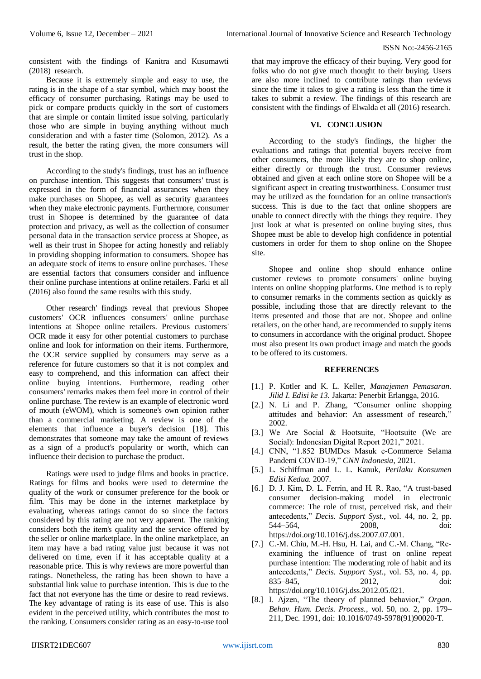consistent with the findings of Kanitra and Kusumawti (2018) research.

Because it is extremely simple and easy to use, the rating is in the shape of a star symbol, which may boost the efficacy of consumer purchasing. Ratings may be used to pick or compare products quickly in the sort of customers that are simple or contain limited issue solving, particularly those who are simple in buying anything without much consideration and with a faster time (Solomon, 2012). As a result, the better the rating given, the more consumers will trust in the shop.

According to the study's findings, trust has an influence on purchase intention. This suggests that consumers' trust is expressed in the form of financial assurances when they make purchases on Shopee, as well as security guarantees when they make electronic payments. Furthermore, consumer trust in Shopee is determined by the guarantee of data protection and privacy, as well as the collection of consumer personal data in the transaction service process at Shopee, as well as their trust in Shopee for acting honestly and reliably in providing shopping information to consumers. Shopee has an adequate stock of items to ensure online purchases. These are essential factors that consumers consider and influence their online purchase intentions at online retailers. Farki et all (2016) also found the same results with this study.

Other research' findings reveal that previous Shopee customers' OCR influences consumers' online purchase intentions at Shopee online retailers. Previous customers' OCR made it easy for other potential customers to purchase online and look for information on their items. Furthermore, the OCR service supplied by consumers may serve as a reference for future customers so that it is not complex and easy to comprehend, and this information can affect their online buying intentions. Furthermore, reading other consumers' remarks makes them feel more in control of their online purchase. The review is an example of electronic word of mouth (eWOM), which is someone's own opinion rather than a commercial marketing. A review is one of the elements that influence a buyer's decision [18]. This demonstrates that someone may take the amount of reviews as a sign of a product's popularity or worth, which can influence their decision to purchase the product.

Ratings were used to judge films and books in practice. Ratings for films and books were used to determine the quality of the work or consumer preference for the book or film. This may be done in the internet marketplace by evaluating, whereas ratings cannot do so since the factors considered by this rating are not very apparent. The ranking considers both the item's quality and the service offered by the seller or online marketplace. In the online marketplace, an item may have a bad rating value just because it was not delivered on time, even if it has acceptable quality at a reasonable price. This is why reviews are more powerful than ratings. Nonetheless, the rating has been shown to have a substantial link value to purchase intention. This is due to the fact that not everyone has the time or desire to read reviews. The key advantage of rating is its ease of use. This is also evident in the perceived utility, which contributes the most to the ranking. Consumers consider rating as an easy-to-use tool that may improve the efficacy of their buying. Very good for folks who do not give much thought to their buying. Users are also more inclined to contribute ratings than reviews since the time it takes to give a rating is less than the time it takes to submit a review. The findings of this research are consistent with the findings of Elwalda et all (2016) research.

# **VI. CONCLUSION**

According to the study's findings, the higher the evaluations and ratings that potential buyers receive from other consumers, the more likely they are to shop online, either directly or through the trust. Consumer reviews obtained and given at each online store on Shopee will be a significant aspect in creating trustworthiness. Consumer trust may be utilized as the foundation for an online transaction's success. This is due to the fact that online shoppers are unable to connect directly with the things they require. They just look at what is presented on online buying sites, thus Shopee must be able to develop high confidence in potential customers in order for them to shop online on the Shopee site.

Shopee and online shop should enhance online customer reviews to promote consumers' online buying intents on online shopping platforms. One method is to reply to consumer remarks in the comments section as quickly as possible, including those that are directly relevant to the items presented and those that are not. Shopee and online retailers, on the other hand, are recommended to supply items to consumers in accordance with the original product. Shopee must also present its own product image and match the goods to be offered to its customers.

## **REFERENCES**

- [1.] P. Kotler and K. L. Keller, *Manajemen Pemasaran. Jilid I. Edisi ke 13.* Jakarta: Penerbit Erlangga, 2016.
- [2.] N. Li and P. Zhang, "Consumer online shopping attitudes and behavior: An assessment of research," 2002.
- [3.] We Are Social & Hootsuite, "Hootsuite (We are Social): Indonesian Digital Report 2021," 2021.
- [4.] CNN, "1.852 BUMDes Masuk e-Commerce Selama Pandemi COVID-19," *CNN Indonesia*, 2021.
- [5.] L. Schiffman and L. L. Kanuk, *Perilaku Konsumen Edisi Kedua*. 2007.
- [6.] D. J. Kim, D. L. Ferrin, and H. R. Rao, "A trust-based consumer decision-making model in electronic commerce: The role of trust, perceived risk, and their antecedents," *Decis. Support Syst.*, vol. 44, no. 2, pp. 544–564, 2008, doi: https://doi.org/10.1016/j.dss.2007.07.001.
- [7.] C.-M. Chiu, M.-H. Hsu, H. Lai, and C.-M. Chang, "Reexamining the influence of trust on online repeat purchase intention: The moderating role of habit and its antecedents," *Decis. Support Syst.*, vol. 53, no. 4, pp. 835–845, 2012, doi: https://doi.org/10.1016/j.dss.2012.05.021.
- [8.] I. Ajzen, "The theory of planned behavior," *Organ. Behav. Hum. Decis. Process.*, vol. 50, no. 2, pp. 179– 211, Dec. 1991, doi: 10.1016/0749-5978(91)90020-T.